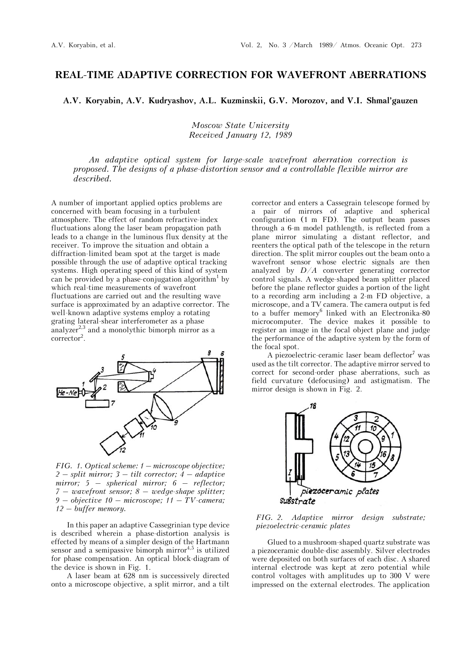## **REAL-TIME ADAPTIVE CORRECTION FOR WAVEFRONT ABERRATIONS**

**A.V. Koryabin, A.V. Kudryashov, A.L. Kuzminskii, G.V. Morozov, and V.I. Shmal'gauzen**

*Moscow State University Received January 12, 1989*

*An adaptive optical system for large-scale wavefront aberration correction is proposed. The designs of a phase-distortion sensor and a controllable flexible mirror are described.*

A number of important applied optics problems are concerned with beam focusing in a turbulent atmosphere. The effect of random refractive-index fluctuations along the laser beam propagation path leads to a change in the luminous flux density at the receiver. To improve the situation and obtain a diffraction-limited beam spot at the target is made possible through the use of adaptive optical tracking systems. High operating speed of this kind of system can be provided by a phase-conjugation algorithm<sup>1</sup> by which real-time measurements of wavefront fluctuations are carried out and the resulting wave surface is approximated by an adaptive corrector. The well-known adaptive systems employ a rotating grating lateral-shear interferometer as a phase analyzer<sup>2,3</sup> and a monolythic bimorph mirror as a corrector<sup>2</sup>.



*FIG. 1. Optical scheme: 1 – microscope objective; 2 – split mirror; 3 – tilt corrector; 4 – adaptive mirror; 5 – spherical mirror; 6 – reflector; 7 – wavefront sensor; 8 – wedge-shape splitter; 9 – objective 10 – microscope; 11 – TV-camera; 12 – buffer memory.*

In this paper an adaptive Cassegrinian type device is described wherein a phase-distortion analysis is effected by means of a simpler design of the Hartmann sensor and a semipassive bimorph mirror<sup>4,5</sup> is utilized for phase compensation. An optical block-diagram of the device is shown in Fig. 1.

A laser beam at 628 nm is successively directed onto a microscope objective, a split mirror, and a tilt corrector and enters a Cassegrain telescope formed by a pair of mirrors of adaptive and spherical configuration (1 m FD). The output beam passes through a 6-m model pathlength, is reflected from a plane mirror simulating a distant reflector, and reenters the optical path of the telescope in the return direction. The split mirror couples out the beam onto a wavefront sensor whose electric signals are then analyzed by *D*/*A* converter generating corrector control signals. A wedge-shaped beam splitter placed before the plane reflector guides a portion of the light to a recording arm including a 2-m FD objective, a microscope, and a TV camera. The camera output is fed to a buffer memory<sup>6</sup> linked with an Electronika-80 microcomputer. The device makes it possible to register an image in the focal object plane and judge the performance of the adaptive system by the form of the focal spot.

A piezoelectric-ceramic laser beam deflector<sup>7</sup> was used as the tilt corrector. The adaptive mirror served to correct for second-order phase aberrations, such as field curvature (defocusing) and astigmatism. The mirror design is shown in Fig. 2.



*FIG. 2. Adaptive mirror design substrate; piezoelectric-ceramic plates* 

Glued to a mushroom-shaped quartz substrate was a piezoceramic double-disc assembly. Silver electrodes were deposited on both surfaces of each disc. A shared internal electrode was kept at zero potential while control voltages with amplitudes up to 300 V were impressed on the external electrodes. The application